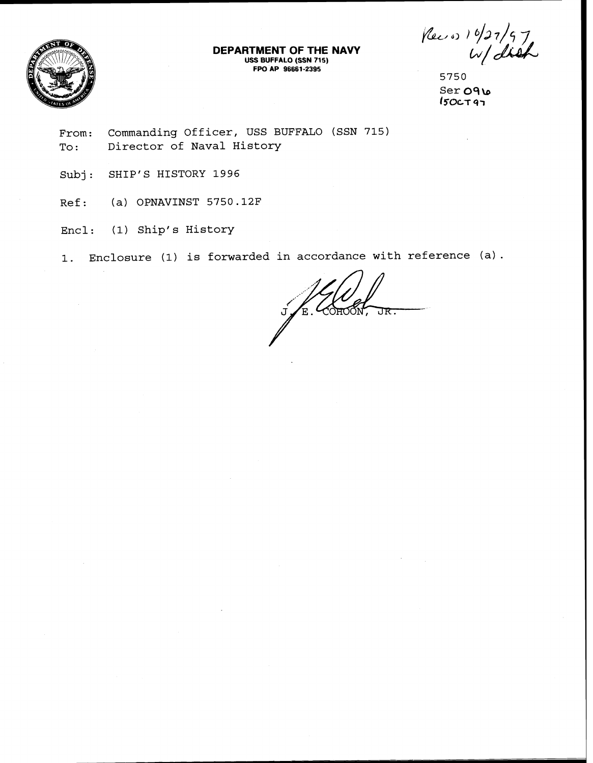

**DEPARTMENT OF THE NAVY USS BUFFALO (SSN 715) FPO AP 96661 -2395** 

Pec os 10/27/97

5750 Ser 091  $I50C$ T97

**From: Commanding Officer, USS BUFFALO (SSN 715) To** : **Director of Naval History** 

Subj: **SHIP'S HISTORY 1996** 

**Ref: (a) OPNAVINST 5750.12F** 

**Encl: (1) Ship's History** 

**1. Enclosure (1) is forwarded in accordance with reference (a).** 

 $K_{\text{E}}$  COHOON, तार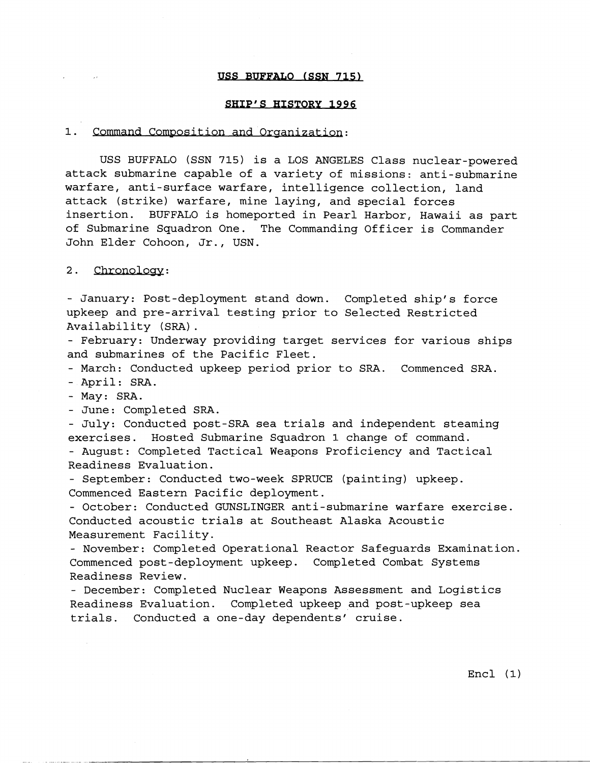## USS BUFFALO (SSN 715)

#### SHIP'S HISTORY 1996

### 1. Command Composition and Organization:

USS BUFFALO (SSN **715)** is a LOS ANGELES Class nuclear-powered attack submarine capable of a variety of missions: anti-submarine warfare, anti-surface warfare, intelligence collection, land attack (strike) warfare, mine laying, and special forces insertion. BUFFALO is homeported in Pearl Harbor, Hawaii as part of Submarine Squadron One. The Commanding Officer is Commander John Elder Cohoon, Jr., USN.

#### $2.$ Chronology:

 $\mathcal{L}^{\mathcal{L}}(\mathcal{L}^{\mathcal{L}}(\mathcal{L}^{\mathcal{L}}(\mathcal{L}^{\mathcal{L}}(\mathcal{L}^{\mathcal{L}}(\mathcal{L}^{\mathcal{L}}(\mathcal{L}^{\mathcal{L}}(\mathcal{L}^{\mathcal{L}}(\mathcal{L}^{\mathcal{L}}(\mathcal{L}^{\mathcal{L}}(\mathcal{L}^{\mathcal{L}}(\mathcal{L}^{\mathcal{L}}(\mathcal{L}^{\mathcal{L}}(\mathcal{L}^{\mathcal{L}}(\mathcal{L}^{\mathcal{L}}(\mathcal{L}^{\mathcal{L}}(\mathcal{L}^{\mathcal{L$ 

- January: Post-deployment stand down. Completed ship's force upkeep and pre-arrival testing prior to Selected Restricted Availability (SRA).<br>- February: Underway providing target services for various ships

and submarines of the Pacific Fleet.

- March: Conducted upkeep period prior to SRA. Commenced SRA.

- April: SRA.

- May: SRA.

- June: Completed SRA.

- July: Conducted post-SRA sea trials and independent steaming exercises. Hosted Submarine Squadron 1 change of command.

- August: Completed Tactical Weapons Proficiency and Tactical Readiness Evaluation.

- September: Conducted two-week SPRUCE (painting) upkeep. Commenced Eastern Pacific deployment.

- October: Conducted GUNSLINGER anti-submarine warfare exercise. Conducted acoustic trials at Southeast Alaska Acoustic Measurement Facility.

- November: Completed Operational Reactor Safeguards Examination. Commenced post-deployment upkeep. Completed Combat Systems Readiness Review.

- December: Completed Nuclear Weapons Assessment and Logistics Readiness Evaluation. Completed upkeep and post-upkeep sea trials. Conducted a one-day dependents' cruise.

Encl (1)